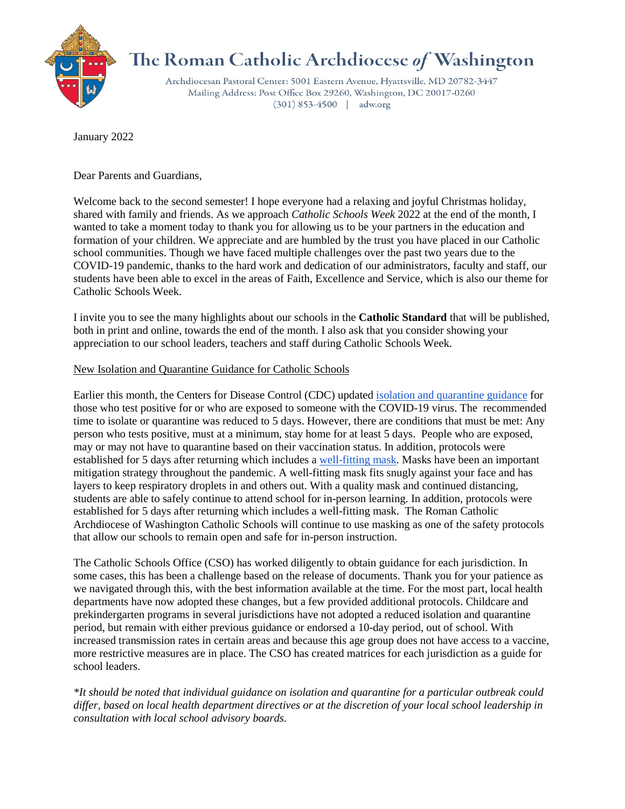

## The Roman Catholic Archdiocese of Washington

Archdiocesan Pastoral Center: 5001 Eastern Avenue, Hyattsville, MD 20782-3447 Mailing Address: Post Office Box 29260, Washington, DC 20017-0260  $(301) 853-4500$  | adw.org

January 2022

Dear Parents and Guardians,

Welcome back to the second semester! I hope everyone had a relaxing and joyful Christmas holiday, shared with family and friends. As we approach *Catholic Schools Week* 2022 at the end of the month, I wanted to take a moment today to thank you for allowing us to be your partners in the education and formation of your children. We appreciate and are humbled by the trust you have placed in our Catholic school communities. Though we have faced multiple challenges over the past two years due to the COVID-19 pandemic, thanks to the hard work and dedication of our administrators, faculty and staff, our students have been able to excel in the areas of Faith, Excellence and Service, which is also our theme for Catholic Schools Week.

I invite you to see the many highlights about our schools in the **Catholic Standard** that will be published, both in print and online, towards the end of the month. I also ask that you consider showing your appreciation to our school leaders, teachers and staff during Catholic Schools Week.

## New Isolation and Quarantine Guidance for Catholic Schools

Earlier this month, the Centers for Disease Control (CDC) updated [isolation and quarantine guidance](https://www.cdc.gov/coronavirus/2019-ncov/your-health/quarantine-isolation.html) for those who test positive for or who are exposed to someone with the COVID-19 virus. The recommended time to isolate or quarantine was reduced to 5 days. However, there are conditions that must be met: Any person who tests positive, must at a minimum, stay home for at least 5 days. People who are exposed, may or may not have to quarantine based on their vaccination status. In addition, protocols were established for 5 days after returning which includes a [well-fitting mask.](https://www.cdc.gov/coronavirus/2019-ncov/your-health/effective-masks.html?ACSTrackingID=USCDC_2067-DM73679&ACSTrackingLabel=Types%20of%20Masks%20and%20Respirators%20%20%7C%20COVID-19&deliveryName=USCDC_2067-DM73679) Masks have been an important mitigation strategy throughout the pandemic. A well-fitting mask fits snugly against your face and has layers to keep respiratory droplets in and others out. With a quality mask and continued distancing, students are able to safely continue to attend school for in-person learning. In addition, protocols were established for 5 days after returning which includes a well-fitting mask. The Roman Catholic Archdiocese of Washington Catholic Schools will continue to use masking as one of the safety protocols that allow our schools to remain open and safe for in-person instruction.

The Catholic Schools Office (CSO) has worked diligently to obtain guidance for each jurisdiction. In some cases, this has been a challenge based on the release of documents. Thank you for your patience as we navigated through this, with the best information available at the time. For the most part, local health departments have now adopted these changes, but a few provided additional protocols. Childcare and prekindergarten programs in several jurisdictions have not adopted a reduced isolation and quarantine period, but remain with either previous guidance or endorsed a 10-day period, out of school. With increased transmission rates in certain areas and because this age group does not have access to a vaccine, more restrictive measures are in place. The CSO has created matrices for each jurisdiction as a guide for school leaders.

*\*It should be noted that individual guidance on isolation and quarantine for a particular outbreak could differ, based on local health department directives or at the discretion of your local school leadership in consultation with local school advisory boards.*